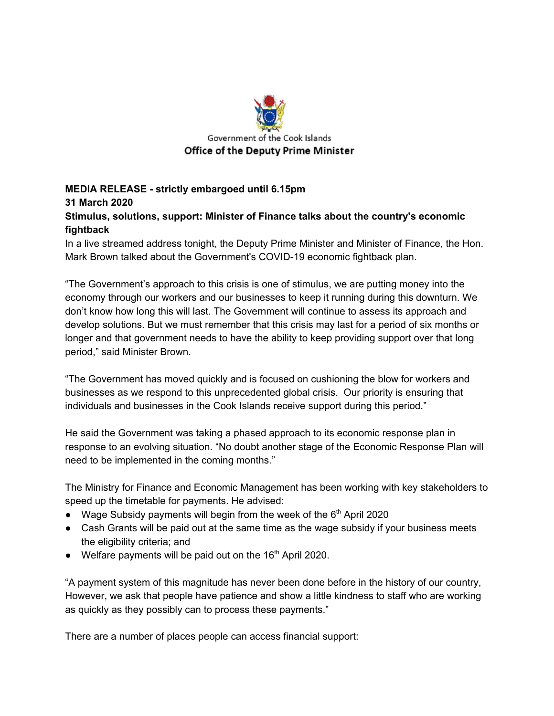

## **MEDIA RELEASE - strictly embargoed until 6.15pm 31 March 2020 Stimulus, solutions, support: Minister of Finance talks about the country's economic fightback**

In a live streamed address tonight, the Deputy Prime Minister and Minister of Finance, the Hon. Mark Brown talked about the Government's COVID-19 economic fightback plan.

"The Government's approach to this crisis is one of stimulus, we are putting money into the economy through our workers and our businesses to keep it running during this downturn. We don't know how long this will last. The Government will continue to assess its approach and develop solutions. But we must remember that this crisis may last for a period of six months or longer and that government needs to have the ability to keep providing support over that long period," said Minister Brown.

"The Government has moved quickly and is focused on cushioning the blow for workers and businesses as we respond to this unprecedented global crisis. Our priority is ensuring that individuals and businesses in the Cook Islands receive support during this period."

He said the Government was taking a phased approach to its economic response plan in response to an evolving situation. "No doubt another stage of the Economic Response Plan will need to be implemented in the coming months."

The Ministry for Finance and Economic Management has been working with key stakeholders to speed up the timetable for payments. He advised:

- Wage Subsidy payments will begin from the week of the  $6<sup>th</sup>$  April 2020
- Cash Grants will be paid out at the same time as the wage subsidy if your business meets the eligibility criteria; and
- $\bullet$  Welfare payments will be paid out on the 16<sup>th</sup> April 2020.

"A payment system of this magnitude has never been done before in the history of our country, However, we ask that people have patience and show a little kindness to staff who are working as quickly as they possibly can to process these payments."

There are a number of places people can access financial support: